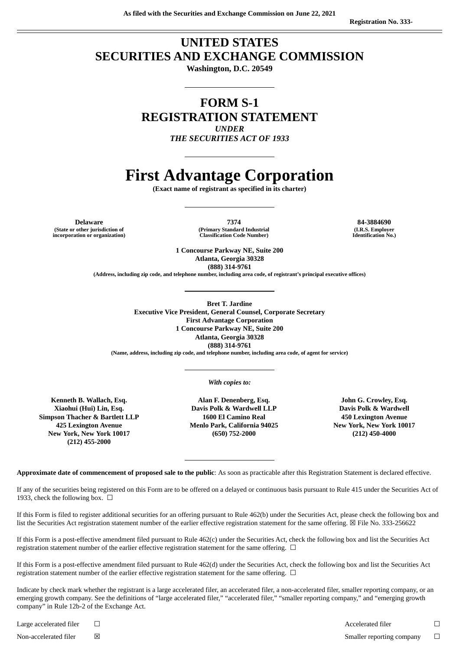## **UNITED STATES SECURITIES AND EXCHANGE COMMISSION**

**Washington, D.C. 20549**

### **FORM S-1 REGISTRATION STATEMENT** *UNDER*

*THE SECURITIES ACT OF 1933*

# **First Advantage Corporation**

**(Exact name of registrant as specified in its charter)**

**(State or other jurisdiction of incorporation or organization)**

**Delaware 7374 84-3884690 (Primary Standard Industrial Classification Code Number)**

**(I.R.S. Employer Identification No.)**

**1 Concourse Parkway NE, Suite 200 Atlanta, Georgia 30328 (888) 314-9761**

**(Address, including zip code, and telephone number, including area code, of registrant's principal executive offices)**

**Bret T. Jardine Executive Vice President, General Counsel, Corporate Secretary First Advantage Corporation 1 Concourse Parkway NE, Suite 200 Atlanta, Georgia 30328 (888) 314-9761**

**(Name, address, including zip code, and telephone number, including area code, of agent for service)**

*With copies to:*

**Simpson Thacher & Bartlett LLP 1600 El Camino Real 450 Lexington Avenue (212) 455-2000**

**Kenneth B. Wallach, Esq. Alan F. Denenberg, Esq. John G. Crowley, Esq. Xiaohui (Hui) Lin, Esq. Davis Polk & Wardwell LLP Davis Polk & Wardwell 425 Lexington Avenue Menlo Park, California 94025 New York, New York 10017 New York, New York 10017 (650) 752-2000 (212) 450-4000**

**Approximate date of commencement of proposed sale to the public**: As soon as practicable after this Registration Statement is declared effective.

If any of the securities being registered on this Form are to be offered on a delayed or continuous basis pursuant to Rule 415 under the Securities Act of 1933, check the following box.  $\Box$ 

If this Form is filed to register additional securities for an offering pursuant to Rule 462(b) under the Securities Act, please check the following box and list the Securities Act registration statement number of the earlier effective registration statement for the same offering. ☒ File No. 333-256622

If this Form is a post-effective amendment filed pursuant to Rule 462(c) under the Securities Act, check the following box and list the Securities Act registration statement number of the earlier effective registration statement for the same offering.  $\Box$ 

If this Form is a post-effective amendment filed pursuant to Rule 462(d) under the Securities Act, check the following box and list the Securities Act registration statement number of the earlier effective registration statement for the same offering.  $\Box$ 

Indicate by check mark whether the registrant is a large accelerated filer, an accelerated filer, a non-accelerated filer, smaller reporting company, or an emerging growth company. See the definitions of "large accelerated filer," "accelerated filer," "smaller reporting company," and "emerging growth company" in Rule 12b-2 of the Exchange Act.

Large accelerated filer ☐ Accelerated filer ☐ Non-accelerated filer **⊠** △ Smaller reporting company <del>□</del>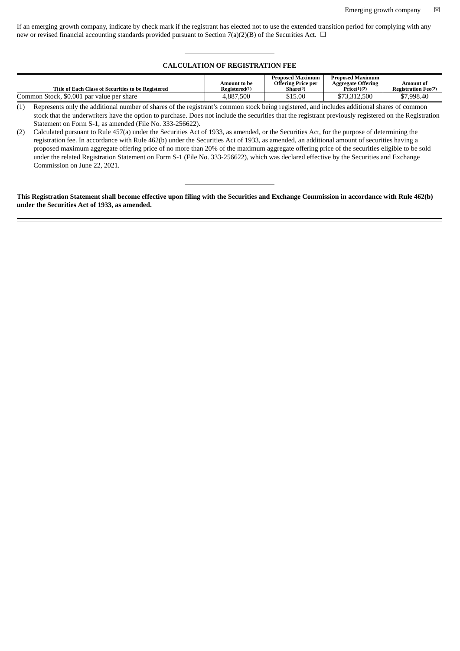If an emerging growth company, indicate by check mark if the registrant has elected not to use the extended transition period for complying with any new or revised financial accounting standards provided pursuant to Section 7(a)(2)(B) of the Securities Act.  $\Box$ 

#### **CALCULATION OF REGISTRATION FEE**

|                                                    |               | <b>Proposed Maximum</b>   | <b>Proposed Maximum</b>   |                            |
|----------------------------------------------------|---------------|---------------------------|---------------------------|----------------------------|
|                                                    | Amount to be  | <b>Offering Price per</b> | <b>Aggregate Offering</b> | Amount of                  |
| Title of Each Class of Securities to be Registered | Registered(1) | Share <sup>(2)</sup>      | Price(1)(2)               | <b>Registration Fee(2)</b> |
| Common Stock, \$0.001 par value per share          | 4.887.500     | \$15.00                   | \$73,312,500              | \$7,998.40                 |

(1) Represents only the additional number of shares of the registrant's common stock being registered, and includes additional shares of common stock that the underwriters have the option to purchase. Does not include the securities that the registrant previously registered on the Registration Statement on Form S-1, as amended (File No. 333-256622).

(2) Calculated pursuant to Rule 457(a) under the Securities Act of 1933, as amended, or the Securities Act, for the purpose of determining the registration fee. In accordance with Rule 462(b) under the Securities Act of 1933, as amended, an additional amount of securities having a proposed maximum aggregate offering price of no more than 20% of the maximum aggregate offering price of the securities eligible to be sold under the related Registration Statement on Form S-1 (File No. 333-256622), which was declared effective by the Securities and Exchange Commission on June 22, 2021.

This Registration Statement shall become effective upon filing with the Securities and Exchange Commission in accordance with Rule 462(b) **under the Securities Act of 1933, as amended.**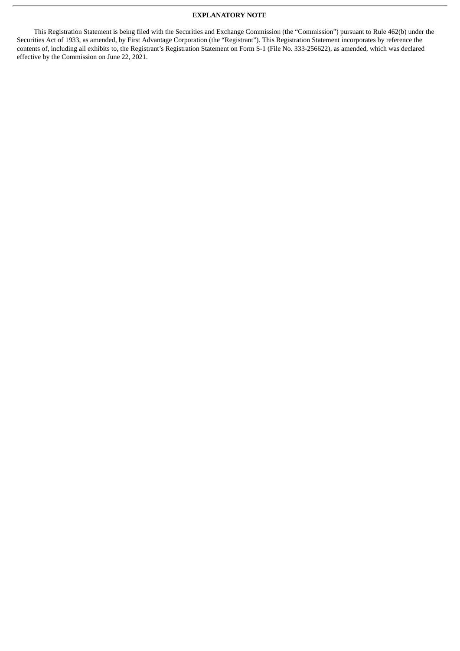#### **EXPLANATORY NOTE**

This Registration Statement is being filed with the Securities and Exchange Commission (the "Commission") pursuant to Rule 462(b) under the Securities Act of 1933, as amended, by First Advantage Corporation (the "Registrant"). This Registration Statement incorporates by reference the contents of, including all exhibits to, the Registrant's Registration Statement on Form S-1 (File No. 333-256622), as amended, which was declared effective by the Commission on June 22, 2021.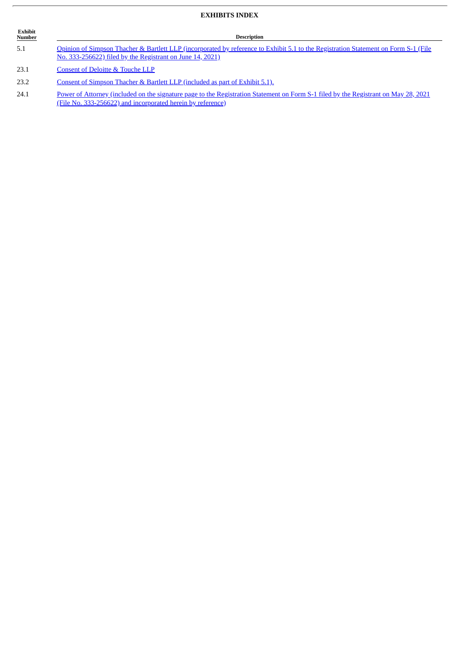#### **EXHIBITS INDEX**

| Exhibit<br><b>Number</b> | <b>Description</b>                                                                                                                                                                               |  |  |  |
|--------------------------|--------------------------------------------------------------------------------------------------------------------------------------------------------------------------------------------------|--|--|--|
| 5.1                      | Opinion of Simpson Thacher & Bartlett LLP (incorporated by reference to Exhibit 5.1 to the Registration Statement on Form S-1 (File<br>No. 333-256622) filed by the Registrant on June 14, 2021) |  |  |  |
| $\sim$ $\sim$            | $\sigma$ . $\sigma$ , $\sigma$ , $\sigma$ , $\sigma$                                                                                                                                             |  |  |  |

23.1 [Consent](#page-5-0) of Deloitte & Touche LLP

23.2 Consent of Simpson Thacher & Bartlett LLP [\(included](http://www.sec.gov/Archives/edgar/data/1210677/000119312521189386/d147929dex51.htm) as part of Exhibit 5.1).

24.1 Power of Attorney (included on the signature page to the Registration Statement on Form S-1 filed by the Registrant on May 28, 2021 (File No. [333-256622\)](http://www.sec.gov/Archives/edgar/data/1210677/000119312521177004/d147929ds1.htm#ii147929_500) and incorporated herein by reference)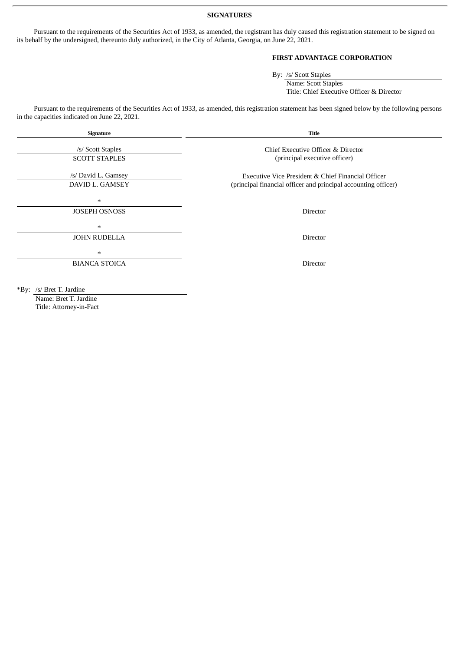#### **SIGNATURES**

Pursuant to the requirements of the Securities Act of 1933, as amended, the registrant has duly caused this registration statement to be signed on its behalf by the undersigned, thereunto duly authorized, in the City of Atlanta, Georgia, on June 22, 2021.

#### **FIRST ADVANTAGE CORPORATION**

By: /s/ Scott Staples Name: Scott Staples Title: Chief Executive Officer & Director

Pursuant to the requirements of the Securities Act of 1933, as amended, this registration statement has been signed below by the following persons in the capacities indicated on June 22, 2021.

| Signature                                                                               | <b>Title</b><br>Chief Executive Officer & Director<br>(principal executive officer)                                  |  |  |
|-----------------------------------------------------------------------------------------|----------------------------------------------------------------------------------------------------------------------|--|--|
| /s/ Scott Staples<br><b>SCOTT STAPLES</b>                                               |                                                                                                                      |  |  |
| /s/ David L. Gamsey<br>DAVID L. GAMSEY                                                  | Executive Vice President & Chief Financial Officer<br>(principal financial officer and principal accounting officer) |  |  |
| $\ast$<br><b>JOSEPH OSNOSS</b>                                                          | Director                                                                                                             |  |  |
| $\ast$<br><b>JOHN RUDELLA</b>                                                           | Director                                                                                                             |  |  |
| $\ast$<br><b>BIANCA STOICA</b>                                                          | Director                                                                                                             |  |  |
| $\mathbf{u}$ , $\mathbf{v}$ , $\mathbf{v}$ , $\mathbf{v}$ , $\mathbf{v}$ , $\mathbf{v}$ |                                                                                                                      |  |  |

\*By: /s/ Bret T. Jardine Name: Bret T. Jardine Title: Attorney-in-Fact